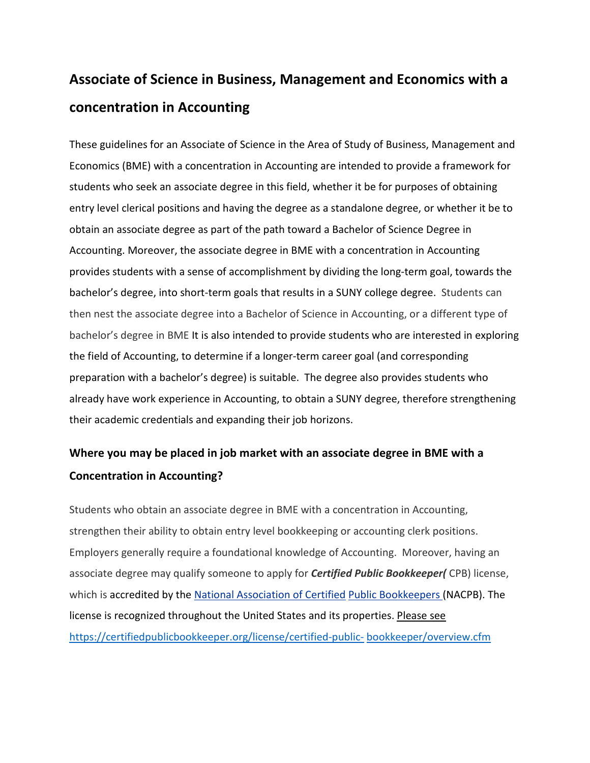## **Associate of Science in Business, Management and Economics with a concentration in Accounting**

These guidelines for an Associate of Science in the Area of Study of Business, Management and Economics (BME) with a concentration in Accounting are intended to provide a framework for students who seek an associate degree in this field, whether it be for purposes of obtaining entry level clerical positions and having the degree as a standalone degree, or whether it be to obtain an associate degree as part of the path toward a Bachelor of Science Degree in Accounting. Moreover, the associate degree in BME with a concentration in Accounting provides students with a sense of accomplishment by dividing the long-term goal, towards the bachelor's degree, into short-term goals that results in a SUNY college degree. Students can then nest the associate degree into a Bachelor of Science in Accounting, or a different type of bachelor's degree in BME It is also intended to provide students who are interested in exploring the field of Accounting, to determine if a longer-term career goal (and corresponding preparation with a bachelor's degree) is suitable. The degree also provides students who already have work experience in Accounting, to obtain a SUNY degree, therefore strengthening their academic credentials and expanding their job horizons.

## **Where you may be placed in job market with an associate degree in BME with a Concentration in Accounting?**

Students who obtain an associate degree in BME with a concentration in Accounting, strengthen their ability to obtain entry level bookkeeping or accounting clerk positions. Employers generally require a foundational knowledge of Accounting. Moreover, having an associate degree may qualify someone to apply for *Certified Public Bookkeeper(* CPB) license, which is accredited by the [National Association of Certified](https://certifiedpublicbookkeeper.org/) [Public Bookkeepers \(](https://certifiedpublicbookkeeper.org/)NACPB). The license is recognized throughout the United States and its properties. Please see [https://certifiedpublicbookkeeper.org/license/certified-public-](https://certifiedpublicbookkeeper.org/license/certified-public-bookkeeper/overview.cfm) [bookkeeper/overview.cfm](https://certifiedpublicbookkeeper.org/license/certified-public-bookkeeper/overview.cfm)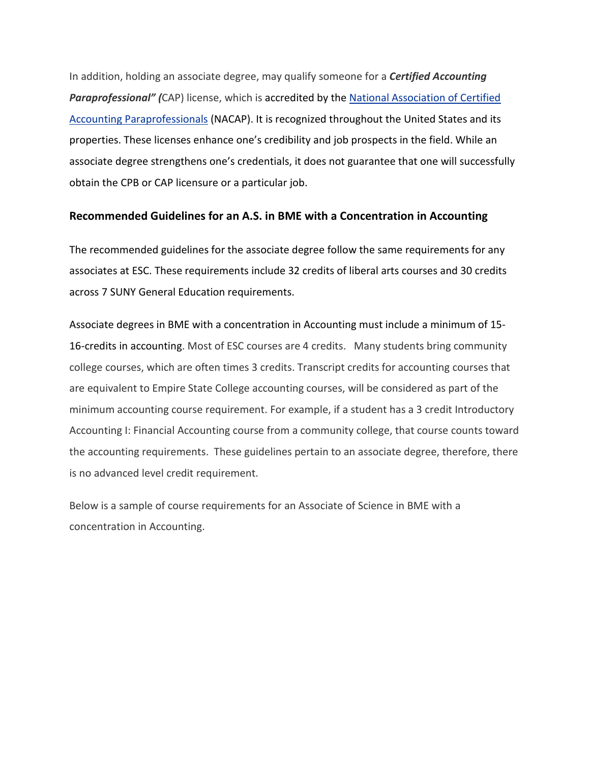In addition, holding an associate degree, may qualify someone for a *Certified Accounting Paraprofessional" (*CAP) license, which is accredited by the [National Association of Certified](http://certifiedaccountingparaprofessional.org/)  [Accounting Paraprofessionals](http://certifiedaccountingparaprofessional.org/) (NACAP). It is recognized throughout the United States and its properties. These licenses enhance one's credibility and job prospects in the field. While an associate degree strengthens one's credentials, it does not guarantee that one will successfully obtain the CPB or CAP licensure or a particular job.

## **Recommended Guidelines for an A.S. in BME with a Concentration in Accounting**

The recommended guidelines for the associate degree follow the same requirements for any associates at ESC. These requirements include 32 credits of liberal arts courses and 30 credits across 7 SUNY General Education requirements.

Associate degrees in BME with a concentration in Accounting must include a minimum of 15- 16-credits in accounting. Most of ESC courses are 4 credits. Many students bring community college courses, which are often times 3 credits. Transcript credits for accounting courses that are equivalent to Empire State College accounting courses, will be considered as part of the minimum accounting course requirement. For example, if a student has a 3 credit Introductory Accounting I: Financial Accounting course from a community college, that course counts toward the accounting requirements. These guidelines pertain to an associate degree, therefore, there is no advanced level credit requirement.

Below is a sample of course requirements for an Associate of Science in BME with a concentration in Accounting.